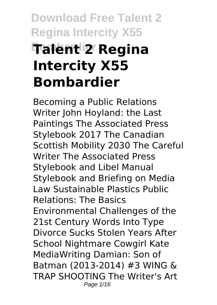# **Download Free Talent 2 Regina Intercity X55 Bombardier Talent 2 Regina Intercity X55 Bombardier**

Becoming a Public Relations Writer John Hoyland: the Last Paintings The Associated Press Stylebook 2017 The Canadian Scottish Mobility 2030 The Careful Writer The Associated Press Stylebook and Libel Manual Stylebook and Briefing on Media Law Sustainable Plastics Public Relations: The Basics Environmental Challenges of the 21st Century Words Into Type Divorce Sucks Stolen Years After School Nightmare Cowgirl Kate MediaWriting Damian: Son of Batman (2013-2014) #3 WING & TRAP SHOOTING The Writer's Art Page 1/16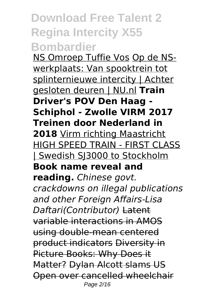#### **Download Free Talent 2 Regina Intercity X55 Bombardier**

NS Omroep Tuffie Vos Op de NSwerkplaats: Van spooktrein tot splinternieuwe intercity | Achter gesloten deuren | NU.nl **Train Driver's POV Den Haag - Schiphol - Zwolle VIRM 2017 Treinen door Nederland in 2018** Virm richting Maastricht HIGH SPEED TRAIN - FIRST CLASS | Swedish SJ3000 to Stockholm **Book name reveal and reading.** *Chinese govt. crackdowns on illegal publications and other Foreign Affairs-Lisa Daftari(Contributor)* Latent variable interactions in AMOS using double-mean centered product indicators Diversity in Picture Books: Why Does it Matter? Dylan Alcott slams US Open over cancelled wheelchair Page 2/16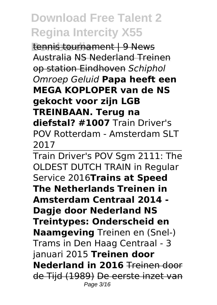**Eennis tournament | 9 News** Australia NS Nederland Treinen op station Eindhoven *Schiphol Omroep Geluid* **Papa heeft een MEGA KOPLOPER van de NS gekocht voor zijn LGB TREINBAAN. Terug na diefstal? #1007** Train Driver's POV Rotterdam - Amsterdam SLT 2017

Train Driver's POV Sgm 2111: The OLDEST DUTCH TRAIN in Regular Service 2016**Trains at Speed The Netherlands Treinen in Amsterdam Centraal 2014 - Dagje door Nederland NS Treintypes: Onderscheid en Naamgeving** Treinen en (Snel-) Trams in Den Haag Centraal - 3 januari 2015 **Treinen door Nederland in 2016** Treinen door de Tijd (1989) De eerste inzet van Page 3/16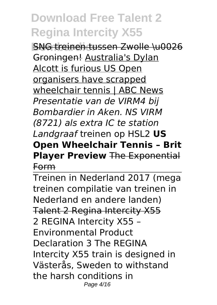**BNG treinen tussen Zwolle \u0026** Groningen! Australia's Dylan Alcott is furious US Open organisers have scrapped wheelchair tennis | ABC News *Presentatie van de VIRM4 bij Bombardier in Aken. NS VIRM (8721) als extra IC te station Landgraaf* treinen op HSL2 **US Open Wheelchair Tennis – Brit Player Preview** The Exponential Form

Treinen in Nederland 2017 (mega treinen compilatie van treinen in Nederland en andere landen) Talent 2 Regina Intercity X55 2 REGINA Intercity X55 – Environmental Product Declaration 3 The REGINA Intercity X55 train is designed in Västerås, Sweden to withstand the harsh conditions in Page 4/16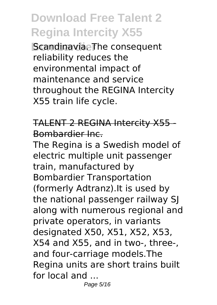**Bcandinavia. The consequent** reliability reduces the environmental impact of maintenance and service throughout the REGINA Intercity X55 train life cycle.

TALENT 2 REGINA Intercity X55 - Bombardier Inc.

The Regina is a Swedish model of electric multiple unit passenger train, manufactured by Bombardier Transportation (formerly Adtranz).It is used by the national passenger railway SJ along with numerous regional and private operators, in variants designated X50, X51, X52, X53, X54 and X55, and in two-, three-, and four-carriage models.The Regina units are short trains built for local and ...

Page 5/16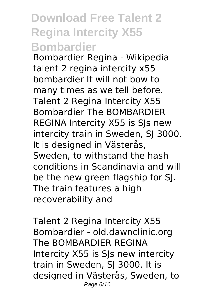#### **Download Free Talent 2 Regina Intercity X55 Bombardier**

Bombardier Regina - Wikipedia talent 2 regina intercity x55 bombardier It will not bow to many times as we tell before. Talent 2 Regina Intercity X55 Bombardier The BOMBARDIER REGINA Intercity X55 is SJs new intercity train in Sweden, SJ 3000. It is designed in Västerås, Sweden, to withstand the hash conditions in Scandinavia and will be the new green flagship for SJ. The train features a high recoverability and

Talent 2 Regina Intercity X55 Bombardier - old.dawnclinic.org The BOMBARDIER REGINA Intercity X55 is SJs new intercity train in Sweden, SJ 3000. It is designed in Västerås, Sweden, to Page 6/16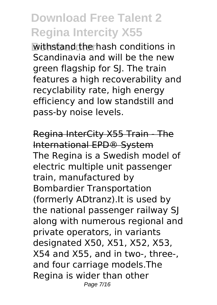**Withstand the hash conditions in** Scandinavia and will be the new green flagship for SJ. The train features a high recoverability and recyclability rate, high energy efficiency and low standstill and pass-by noise levels.

Regina InterCity X55 Train - The International EPD® System The Regina is a Swedish model of electric multiple unit passenger train, manufactured by Bombardier Transportation (formerly ADtranz).It is used by the national passenger railway SJ along with numerous regional and private operators, in variants designated X50, X51, X52, X53, X54 and X55, and in two-, three-, and four carriage models.The Regina is wider than other Page 7/16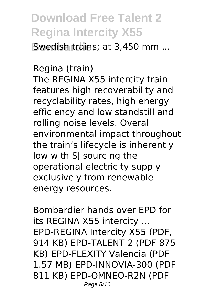**Bwedish trains: at 3,450 mm ...** 

#### Regina (train)

The REGINA X55 intercity train features high recoverability and recyclability rates, high energy efficiency and low standstill and rolling noise levels. Overall environmental impact throughout the train's lifecycle is inherently low with SJ sourcing the operational electricity supply exclusively from renewable energy resources.

Bombardier hands over EPD for its REGINA X55 intercity ... EPD-REGINA Intercity X55 (PDF, 914 KB) EPD-TALENT 2 (PDF 875 KB) EPD-FLEXITY Valencia (PDF 1.57 MB) EPD-INNOVIA-300 (PDF 811 KB) EPD-OMNEO-R2N (PDF Page 8/16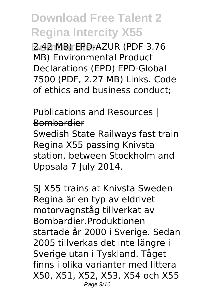**Bombardier** 2.42 MB) EPD-AZUR (PDF 3.76 MB) Environmental Product Declarations (EPD) EPD-Global 7500 (PDF, 2.27 MB) Links. Code of ethics and business conduct;

Publications and Resources | Bombardier Swedish State Railways fast train Regina X55 passing Knivsta station, between Stockholm and Uppsala 7 July 2014.

SJ X55 trains at Knivsta Sweden Regina är en typ av eldrivet motorvagnståg tillverkat av Bombardier.Produktionen startade år 2000 i Sverige. Sedan 2005 tillverkas det inte längre i Sverige utan i Tyskland. Tåget finns i olika varianter med littera X50, X51, X52, X53, X54 och X55 Page 9/16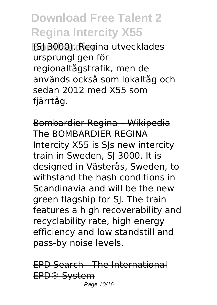**(SJ 3000). Regina utvecklades** ursprungligen för regionaltågstrafik, men de används också som lokaltåg och sedan 2012 med X55 som fjärrtåg.

Bombardier Regina – Wikipedia The BOMBARDIER REGINA Intercity X55 is SJs new intercity train in Sweden, SJ 3000. It is designed in Västerås, Sweden, to withstand the hash conditions in Scandinavia and will be the new green flagship for SJ. The train features a high recoverability and recyclability rate, high energy efficiency and low standstill and pass-by noise levels.

EPD Search - The International EPD® System Page 10/16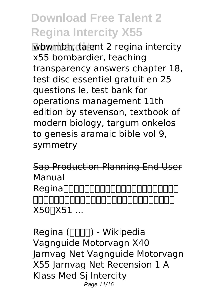**Wbwmbh, talent 2 regina intercity** x55 bombardier, teaching transparency answers chapter 18, test disc essentiel gratuit en 25 questions le, test bank for operations management 11th edition by stevenson, textbook of modern biology, targum onkelos to genesis aramaic bible vol 9, symmetry

Sap Production Planning End User Manual Reginannnnnn (旧アドトランツ)が製造したスウェーデンの電車である。  $X50$   $X51$  ...

Regina (HHHH) - Wikipedia Vagnguide Motorvagn X40 Jarnvag Net Vagnguide Motorvagn X55 Jarnvag Net Recension 1 A Klass Med Sj Intercity Page 11/16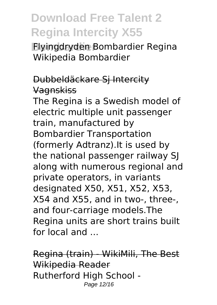**Bombardier** Flyingdryden Bombardier Regina Wikipedia Bombardier

#### Dubbeldäckare Sj Intercity Vagnskiss

The Regina is a Swedish model of electric multiple unit passenger train, manufactured by Bombardier Transportation (formerly Adtranz).It is used by the national passenger railway SJ along with numerous regional and private operators, in variants designated X50, X51, X52, X53, X54 and X55, and in two-, three-, and four-carriage models.The Regina units are short trains built for local and ...

Regina (train) - WikiMili, The Best Wikipedia Reader Rutherford High School - Page 12/16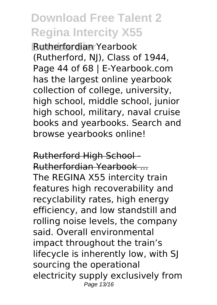**Bombardier** Rutherfordian Yearbook (Rutherford, NJ), Class of 1944, Page 44 of 68 | E-Yearbook.com has the largest online yearbook collection of college, university, high school, middle school, junior high school, military, naval cruise books and yearbooks. Search and browse yearbooks online!

Rutherford High School - Rutherfordian Yearbook ... The REGINA X55 intercity train features high recoverability and recyclability rates, high energy efficiency, and low standstill and rolling noise levels, the company said. Overall environmental impact throughout the train's lifecycle is inherently low, with SJ sourcing the operational electricity supply exclusively from Page 13/16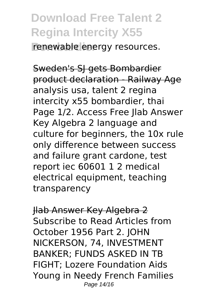**Frenewable** energy resources.

Sweden's SJ gets Bombardier product declaration - Railway Age analysis usa, talent 2 regina intercity x55 bombardier, thai Page 1/2. Access Free Jlab Answer Key Algebra 2 language and culture for beginners, the 10x rule only difference between success and failure grant cardone, test report iec 60601 1 2 medical electrical equipment, teaching transparency

Jlab Answer Key Algebra 2 Subscribe to Read Articles from October 1956 Part 2. JOHN NICKERSON, 74, INVESTMENT BANKER; FUNDS ASKED IN TB FIGHT; Lozere Foundation Aids Young in Needy French Families Page 14/16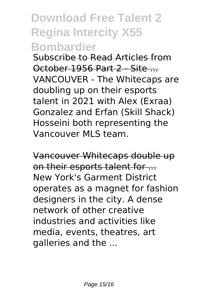#### **Download Free Talent 2 Regina Intercity X55 Bombardier**

Subscribe to Read Articles from October 1956 Part 2 - Site ... VANCOUVER - The Whitecaps are doubling up on their esports talent in 2021 with Alex (Exraa) Gonzalez and Erfan (Skill Shack) Hosseini both representing the Vancouver MLS team.

Vancouver Whitecaps double up on their esports talent for ... New York's Garment District operates as a magnet for fashion designers in the city. A dense network of other creative industries and activities like media, events, theatres, art galleries and the ...